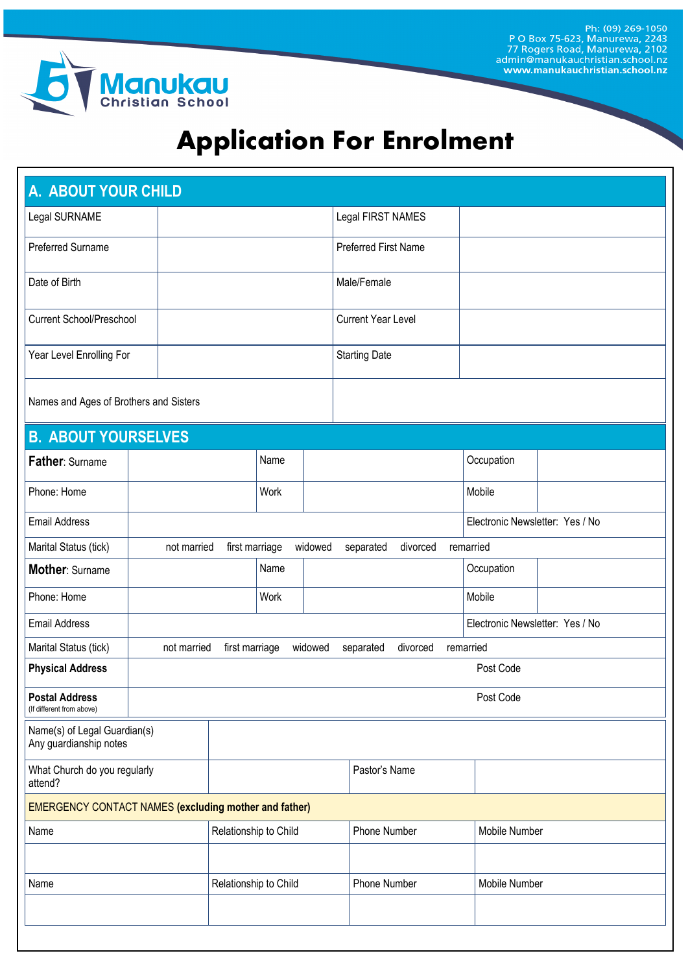Ph: (09) 269-1050<br>P O Box 75-623, Manurewa, 2243<br>77 Rogers Road, Manurewa, 2102<br>admin@manukauchristian.school.nz www.manukauchristian.school.nz



# **Application For Enrolment**

| A. ABOUT YOUR CHILD                                          |             |                                                                                |      |                   |                             |  |                                 |  |
|--------------------------------------------------------------|-------------|--------------------------------------------------------------------------------|------|-------------------|-----------------------------|--|---------------------------------|--|
| Legal SURNAME                                                |             |                                                                                |      | Legal FIRST NAMES |                             |  |                                 |  |
| Preferred Surname                                            |             |                                                                                |      |                   | <b>Preferred First Name</b> |  |                                 |  |
| Date of Birth                                                |             |                                                                                |      |                   | Male/Female                 |  |                                 |  |
| <b>Current School/Preschool</b>                              |             |                                                                                |      |                   | <b>Current Year Level</b>   |  |                                 |  |
| Year Level Enrolling For                                     |             |                                                                                |      |                   | <b>Starting Date</b>        |  |                                 |  |
| Names and Ages of Brothers and Sisters                       |             |                                                                                |      |                   |                             |  |                                 |  |
| <b>B. ABOUT YOURSELVES</b>                                   |             |                                                                                |      |                   |                             |  |                                 |  |
| Father: Surname                                              |             |                                                                                | Name |                   |                             |  | Occupation                      |  |
| Phone: Home                                                  |             |                                                                                | Work |                   |                             |  | Mobile                          |  |
| <b>Email Address</b>                                         |             | Electronic Newsletter: Yes / No                                                |      |                   |                             |  |                                 |  |
| Marital Status (tick)                                        | not married | first marriage                                                                 |      | widowed           | divorced<br>separated       |  | remarried                       |  |
| Mother: Surname                                              |             |                                                                                | Name |                   |                             |  | Occupation                      |  |
| Phone: Home                                                  |             |                                                                                | Work |                   |                             |  | Mobile                          |  |
| <b>Email Address</b>                                         |             |                                                                                |      |                   |                             |  | Electronic Newsletter: Yes / No |  |
| Marital Status (tick)                                        |             | not married<br>first marriage<br>widowed<br>divorced<br>remarried<br>separated |      |                   |                             |  |                                 |  |
| <b>Physical Address</b>                                      | Post Code   |                                                                                |      |                   |                             |  |                                 |  |
| <b>Postal Address</b><br>(If different from above)           |             | Post Code                                                                      |      |                   |                             |  |                                 |  |
| Name(s) of Legal Guardian(s)<br>Any guardianship notes       |             |                                                                                |      |                   |                             |  |                                 |  |
| What Church do you regularly<br>attend?                      |             |                                                                                |      |                   | Pastor's Name               |  |                                 |  |
| <b>EMERGENCY CONTACT NAMES (excluding mother and father)</b> |             |                                                                                |      |                   |                             |  |                                 |  |
| Name                                                         |             | Relationship to Child                                                          |      |                   | Phone Number                |  | Mobile Number                   |  |
|                                                              |             |                                                                                |      |                   |                             |  |                                 |  |
| Name                                                         |             | Relationship to Child                                                          |      |                   | Phone Number                |  | Mobile Number                   |  |
|                                                              |             |                                                                                |      |                   |                             |  |                                 |  |
|                                                              |             |                                                                                |      |                   |                             |  |                                 |  |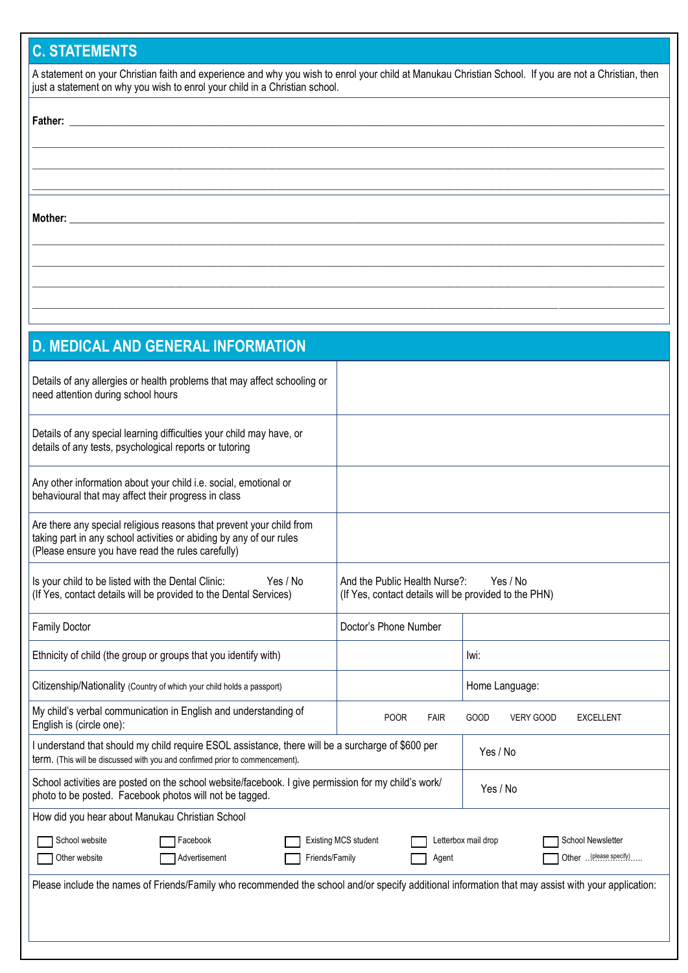## **C. STATEMENTS**

| A statement on your Christian faith and experience and why you wish to enrol your child at Manukau Christian School. If you are not a Christian, then |  |
|-------------------------------------------------------------------------------------------------------------------------------------------------------|--|
| just a statement on why you wish to enrol your child in a Christian school.                                                                           |  |

**\_\_\_\_\_\_\_\_\_\_\_\_\_\_\_\_\_\_\_\_\_\_\_\_\_\_\_\_\_\_\_\_\_\_\_\_\_\_\_\_\_\_\_\_\_\_\_\_\_\_\_\_\_\_\_\_\_\_\_\_\_\_\_\_\_\_\_\_\_\_\_\_\_\_\_\_\_\_\_\_\_\_\_\_\_\_\_\_\_\_\_\_\_\_\_\_\_\_\_\_\_\_\_\_\_\_\_\_\_\_\_\_\_\_\_\_\_\_\_\_\_\_\_\_\_\_\_\_\_\_\_\_\_\_\_\_\_\_\_\_\_\_\_\_\_\_\_\_\_\_ \_\_\_\_\_\_\_\_\_\_\_\_\_\_\_\_\_\_\_\_\_\_\_\_\_\_\_\_\_\_\_\_\_\_\_\_\_\_\_\_\_\_\_\_\_\_\_\_\_\_\_\_\_\_\_\_\_\_\_\_\_\_\_\_\_\_\_\_\_\_\_\_\_\_\_\_\_\_\_\_\_\_\_\_\_\_\_\_\_\_\_\_\_\_\_\_\_\_\_\_\_\_\_\_\_\_\_\_\_\_\_\_\_\_\_\_\_\_\_\_\_\_\_\_\_\_\_\_\_\_\_\_\_\_\_\_\_\_\_\_\_\_\_\_\_\_\_\_\_\_ \_\_\_\_\_\_\_\_\_\_\_\_\_\_\_\_\_\_\_\_\_\_\_\_\_\_\_\_\_\_\_\_\_\_\_\_\_\_\_\_\_\_\_\_\_\_\_\_\_\_\_\_\_\_\_\_\_\_\_\_\_\_\_\_\_\_\_\_\_\_\_\_\_\_\_\_\_\_\_\_\_\_\_\_\_\_\_\_\_\_\_\_\_\_\_\_\_\_\_\_\_\_\_\_\_\_\_\_\_\_\_\_\_\_\_\_\_\_\_\_\_\_\_\_\_\_\_\_\_\_\_\_\_\_\_\_\_\_\_\_\_\_\_\_\_\_\_\_\_\_**

**\_\_\_\_\_\_\_\_\_\_\_\_\_\_\_\_\_\_\_\_\_\_\_\_\_\_\_\_\_\_\_\_\_\_\_\_\_\_\_\_\_\_\_\_\_\_\_\_\_\_\_\_\_\_\_\_\_\_\_\_\_\_\_\_\_\_\_\_\_\_\_\_\_\_\_\_\_\_\_\_\_\_\_\_\_\_\_\_\_\_\_\_\_\_\_\_\_\_\_\_\_\_\_\_\_\_\_\_\_\_\_\_\_\_\_\_\_\_\_\_\_\_\_\_\_\_\_\_\_\_\_\_\_\_\_\_\_\_\_\_\_\_\_\_\_\_\_\_\_\_ \_\_\_\_\_\_\_\_\_\_\_\_\_\_\_\_\_\_\_\_\_\_\_\_\_\_\_\_\_\_\_\_\_\_\_\_\_\_\_\_\_\_\_\_\_\_\_\_\_\_\_\_\_\_\_\_\_\_\_\_\_\_\_\_\_\_\_\_\_\_\_\_\_\_\_\_\_\_\_\_\_\_\_\_\_\_\_\_\_\_\_\_\_\_\_\_\_\_\_\_\_\_\_\_\_\_\_\_\_\_\_\_\_\_\_\_\_\_\_\_\_\_\_\_\_\_\_\_\_\_\_\_\_\_\_\_\_\_\_\_\_\_\_\_\_\_\_\_\_\_ \_\_\_\_\_\_\_\_\_\_\_\_\_\_\_\_\_\_\_\_\_\_\_\_\_\_\_\_\_\_\_\_\_\_\_\_\_\_\_\_\_\_\_\_\_\_\_\_\_\_\_\_\_\_\_\_\_\_\_\_\_\_\_\_\_\_\_\_\_\_\_\_\_\_\_\_\_\_\_\_\_\_\_\_\_\_\_\_\_\_\_\_\_\_\_\_\_\_\_\_\_\_\_\_\_\_\_\_\_\_\_\_\_\_\_\_\_\_\_\_\_\_\_\_\_\_\_\_\_\_\_\_\_\_\_\_\_\_\_\_\_\_\_\_\_\_\_\_\_\_ \_\_\_\_\_\_\_\_\_\_\_\_\_\_\_\_\_\_\_\_\_\_\_\_\_\_\_\_\_\_\_\_\_\_\_\_\_\_\_\_\_\_\_\_\_\_\_\_\_\_\_\_\_\_\_\_\_\_\_\_\_\_\_\_\_\_\_\_\_\_\_\_\_\_\_\_\_\_\_\_\_\_\_\_\_\_\_\_\_\_\_\_\_\_\_\_\_\_\_\_\_\_\_\_\_\_\_\_\_\_\_\_\_\_\_\_\_\_\_\_\_\_\_\_\_\_\_\_\_\_\_\_\_\_\_\_\_\_\_\_\_\_\_\_\_\_\_\_\_\_**

## **Father: \_\_\_\_\_\_\_\_\_\_\_\_\_\_\_\_\_\_\_\_\_\_\_\_\_\_\_\_\_\_\_\_\_\_\_\_\_\_\_\_\_\_\_\_\_\_\_\_\_\_\_\_\_\_\_\_\_\_\_\_\_\_\_\_\_\_\_\_\_\_\_\_\_\_\_\_\_\_\_\_\_\_\_\_\_\_\_\_\_\_\_\_\_\_\_\_\_\_\_\_\_\_\_\_\_\_\_\_\_\_\_\_\_**

**Mother: \_\_\_\_\_\_\_\_\_\_\_\_\_\_\_\_\_\_\_\_\_\_\_\_\_\_\_\_\_\_\_\_\_\_\_\_\_\_\_\_\_\_\_\_\_\_\_\_\_\_\_\_\_\_\_\_\_\_\_\_\_\_\_\_\_\_\_\_\_\_\_\_\_\_\_\_\_\_\_\_\_\_\_\_\_\_\_\_\_\_\_\_\_\_\_\_\_\_\_\_\_\_\_\_\_\_\_\_\_\_\_\_\_**

| <b>D. MEDICAL AND GENERAL INFORMATION</b>                                                                                                                                                        |                                                                                                    |                                                 |  |  |  |
|--------------------------------------------------------------------------------------------------------------------------------------------------------------------------------------------------|----------------------------------------------------------------------------------------------------|-------------------------------------------------|--|--|--|
| Details of any allergies or health problems that may affect schooling or<br>need attention during school hours                                                                                   |                                                                                                    |                                                 |  |  |  |
| Details of any special learning difficulties your child may have, or<br>details of any tests, psychological reports or tutoring                                                                  |                                                                                                    |                                                 |  |  |  |
| Any other information about your child i.e. social, emotional or<br>behavioural that may affect their progress in class                                                                          |                                                                                                    |                                                 |  |  |  |
| Are there any special religious reasons that prevent your child from<br>taking part in any school activities or abiding by any of our rules<br>(Please ensure you have read the rules carefully) |                                                                                                    |                                                 |  |  |  |
| Is your child to be listed with the Dental Clinic:<br>Yes / No<br>(If Yes, contact details will be provided to the Dental Services)                                                              | Yes / No<br>And the Public Health Nurse?:<br>(If Yes, contact details will be provided to the PHN) |                                                 |  |  |  |
| <b>Family Doctor</b>                                                                                                                                                                             | Doctor's Phone Number                                                                              |                                                 |  |  |  |
| Ethnicity of child (the group or groups that you identify with)                                                                                                                                  |                                                                                                    | lwi:                                            |  |  |  |
| Citizenship/Nationality (Country of which your child holds a passport)                                                                                                                           |                                                                                                    | Home Language:                                  |  |  |  |
| My child's verbal communication in English and understanding of<br>English is (circle one):                                                                                                      | <b>POOR</b><br><b>FAIR</b>                                                                         | GOOD<br><b>VERY GOOD</b><br><b>EXCELLENT</b>    |  |  |  |
| I understand that should my child require ESOL assistance, there will be a surcharge of \$600 per<br>term. (This will be discussed with you and confirmed prior to commencement).                |                                                                                                    | Yes / No                                        |  |  |  |
| School activities are posted on the school website/facebook. I give permission for my child's work/<br>Yes / No<br>photo to be posted. Facebook photos will not be tagged.                       |                                                                                                    |                                                 |  |  |  |
| How did you hear about Manukau Christian School                                                                                                                                                  |                                                                                                    |                                                 |  |  |  |
| School website<br>Facebook                                                                                                                                                                       | <b>Existing MCS student</b>                                                                        | <b>School Newsletter</b><br>Letterbox mail drop |  |  |  |
| Other website<br>Advertisement<br>Friends/Family                                                                                                                                                 | Agent                                                                                              | Other  (please specify)                         |  |  |  |
| Please include the names of Friends/Family who recommended the school and/or specify additional information that may assist with your application:                                               |                                                                                                    |                                                 |  |  |  |
|                                                                                                                                                                                                  |                                                                                                    |                                                 |  |  |  |
|                                                                                                                                                                                                  |                                                                                                    |                                                 |  |  |  |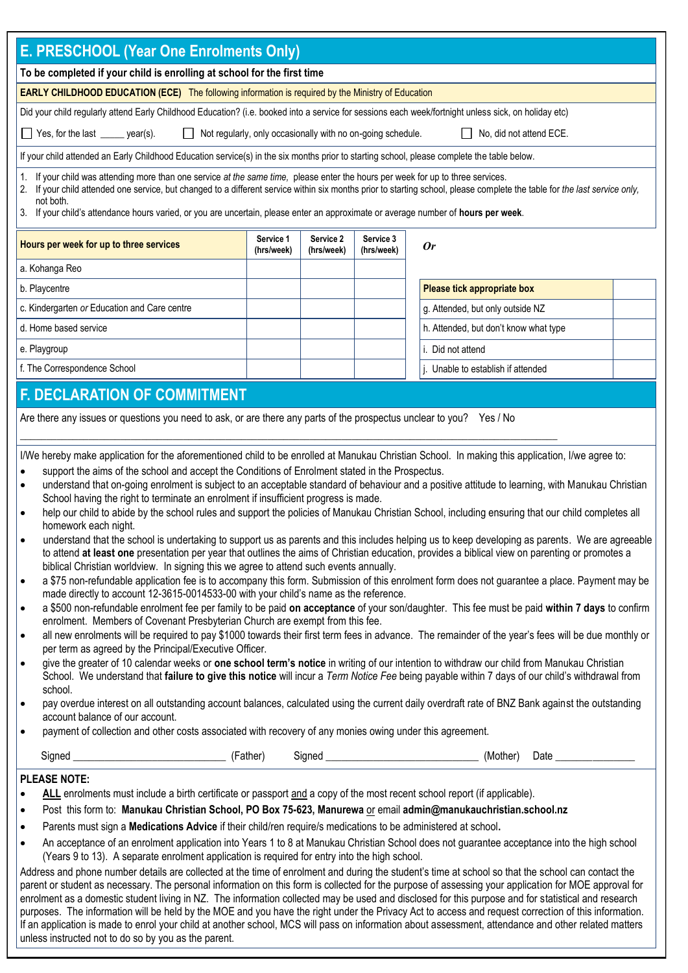| E. PRESCHOOL (Year One Enrolments Only)                                                                                                                                                                                                                                                                                                                                                                                                                                                                                                                                                                                                                                                                                                                                                                                                                                                                                                                                                                                                                                                                                                                                                                                                                                                                                                                                                                                                                                                                                                                                                                                                                                                                                                                                                                                                                                                                                                                                                                                                                                                                                                                                                                                                                                                                                                                                                                                                                                                                                                                                                                             |                                                                                            |  |  |                                                                                                                             |  |
|---------------------------------------------------------------------------------------------------------------------------------------------------------------------------------------------------------------------------------------------------------------------------------------------------------------------------------------------------------------------------------------------------------------------------------------------------------------------------------------------------------------------------------------------------------------------------------------------------------------------------------------------------------------------------------------------------------------------------------------------------------------------------------------------------------------------------------------------------------------------------------------------------------------------------------------------------------------------------------------------------------------------------------------------------------------------------------------------------------------------------------------------------------------------------------------------------------------------------------------------------------------------------------------------------------------------------------------------------------------------------------------------------------------------------------------------------------------------------------------------------------------------------------------------------------------------------------------------------------------------------------------------------------------------------------------------------------------------------------------------------------------------------------------------------------------------------------------------------------------------------------------------------------------------------------------------------------------------------------------------------------------------------------------------------------------------------------------------------------------------------------------------------------------------------------------------------------------------------------------------------------------------------------------------------------------------------------------------------------------------------------------------------------------------------------------------------------------------------------------------------------------------------------------------------------------------------------------------------------------------|--------------------------------------------------------------------------------------------|--|--|-----------------------------------------------------------------------------------------------------------------------------|--|
| To be completed if your child is enrolling at school for the first time                                                                                                                                                                                                                                                                                                                                                                                                                                                                                                                                                                                                                                                                                                                                                                                                                                                                                                                                                                                                                                                                                                                                                                                                                                                                                                                                                                                                                                                                                                                                                                                                                                                                                                                                                                                                                                                                                                                                                                                                                                                                                                                                                                                                                                                                                                                                                                                                                                                                                                                                             |                                                                                            |  |  |                                                                                                                             |  |
| <b>EARLY CHILDHOOD EDUCATION (ECE)</b> The following information is required by the Ministry of Education                                                                                                                                                                                                                                                                                                                                                                                                                                                                                                                                                                                                                                                                                                                                                                                                                                                                                                                                                                                                                                                                                                                                                                                                                                                                                                                                                                                                                                                                                                                                                                                                                                                                                                                                                                                                                                                                                                                                                                                                                                                                                                                                                                                                                                                                                                                                                                                                                                                                                                           |                                                                                            |  |  |                                                                                                                             |  |
| Did your child regularly attend Early Childhood Education? (i.e. booked into a service for sessions each week/fortnight unless sick, on holiday etc)                                                                                                                                                                                                                                                                                                                                                                                                                                                                                                                                                                                                                                                                                                                                                                                                                                                                                                                                                                                                                                                                                                                                                                                                                                                                                                                                                                                                                                                                                                                                                                                                                                                                                                                                                                                                                                                                                                                                                                                                                                                                                                                                                                                                                                                                                                                                                                                                                                                                |                                                                                            |  |  |                                                                                                                             |  |
| Yes, for the last ______ year(s).<br>Not regularly, only occasionally with no on-going schedule.<br>No, did not attend ECE.                                                                                                                                                                                                                                                                                                                                                                                                                                                                                                                                                                                                                                                                                                                                                                                                                                                                                                                                                                                                                                                                                                                                                                                                                                                                                                                                                                                                                                                                                                                                                                                                                                                                                                                                                                                                                                                                                                                                                                                                                                                                                                                                                                                                                                                                                                                                                                                                                                                                                         |                                                                                            |  |  |                                                                                                                             |  |
| If your child attended an Early Childhood Education service(s) in the six months prior to starting school, please complete the table below.                                                                                                                                                                                                                                                                                                                                                                                                                                                                                                                                                                                                                                                                                                                                                                                                                                                                                                                                                                                                                                                                                                                                                                                                                                                                                                                                                                                                                                                                                                                                                                                                                                                                                                                                                                                                                                                                                                                                                                                                                                                                                                                                                                                                                                                                                                                                                                                                                                                                         |                                                                                            |  |  |                                                                                                                             |  |
| 1. If your child was attending more than one service at the same time, please enter the hours per week for up to three services.<br>If your child attended one service, but changed to a different service within six months prior to starting school, please complete the table for the last service only,<br>not both.<br>3. If your child's attendance hours varied, or you are uncertain, please enter an approximate or average number of hours per week.                                                                                                                                                                                                                                                                                                                                                                                                                                                                                                                                                                                                                                                                                                                                                                                                                                                                                                                                                                                                                                                                                                                                                                                                                                                                                                                                                                                                                                                                                                                                                                                                                                                                                                                                                                                                                                                                                                                                                                                                                                                                                                                                                      |                                                                                            |  |  |                                                                                                                             |  |
| Hours per week for up to three services                                                                                                                                                                                                                                                                                                                                                                                                                                                                                                                                                                                                                                                                                                                                                                                                                                                                                                                                                                                                                                                                                                                                                                                                                                                                                                                                                                                                                                                                                                                                                                                                                                                                                                                                                                                                                                                                                                                                                                                                                                                                                                                                                                                                                                                                                                                                                                                                                                                                                                                                                                             | Service 2<br>Service 3<br>Service 1<br><b>Or</b><br>(hrs/week)<br>(hrs/week)<br>(hrs/week) |  |  |                                                                                                                             |  |
| a. Kohanga Reo                                                                                                                                                                                                                                                                                                                                                                                                                                                                                                                                                                                                                                                                                                                                                                                                                                                                                                                                                                                                                                                                                                                                                                                                                                                                                                                                                                                                                                                                                                                                                                                                                                                                                                                                                                                                                                                                                                                                                                                                                                                                                                                                                                                                                                                                                                                                                                                                                                                                                                                                                                                                      |                                                                                            |  |  |                                                                                                                             |  |
| b. Playcentre                                                                                                                                                                                                                                                                                                                                                                                                                                                                                                                                                                                                                                                                                                                                                                                                                                                                                                                                                                                                                                                                                                                                                                                                                                                                                                                                                                                                                                                                                                                                                                                                                                                                                                                                                                                                                                                                                                                                                                                                                                                                                                                                                                                                                                                                                                                                                                                                                                                                                                                                                                                                       |                                                                                            |  |  | Please tick appropriate box                                                                                                 |  |
| c. Kindergarten or Education and Care centre                                                                                                                                                                                                                                                                                                                                                                                                                                                                                                                                                                                                                                                                                                                                                                                                                                                                                                                                                                                                                                                                                                                                                                                                                                                                                                                                                                                                                                                                                                                                                                                                                                                                                                                                                                                                                                                                                                                                                                                                                                                                                                                                                                                                                                                                                                                                                                                                                                                                                                                                                                        |                                                                                            |  |  | g. Attended, but only outside NZ                                                                                            |  |
| d. Home based service                                                                                                                                                                                                                                                                                                                                                                                                                                                                                                                                                                                                                                                                                                                                                                                                                                                                                                                                                                                                                                                                                                                                                                                                                                                                                                                                                                                                                                                                                                                                                                                                                                                                                                                                                                                                                                                                                                                                                                                                                                                                                                                                                                                                                                                                                                                                                                                                                                                                                                                                                                                               |                                                                                            |  |  | h. Attended, but don't know what type                                                                                       |  |
| e. Playgroup                                                                                                                                                                                                                                                                                                                                                                                                                                                                                                                                                                                                                                                                                                                                                                                                                                                                                                                                                                                                                                                                                                                                                                                                                                                                                                                                                                                                                                                                                                                                                                                                                                                                                                                                                                                                                                                                                                                                                                                                                                                                                                                                                                                                                                                                                                                                                                                                                                                                                                                                                                                                        |                                                                                            |  |  | i. Did not attend                                                                                                           |  |
| f. The Correspondence School                                                                                                                                                                                                                                                                                                                                                                                                                                                                                                                                                                                                                                                                                                                                                                                                                                                                                                                                                                                                                                                                                                                                                                                                                                                                                                                                                                                                                                                                                                                                                                                                                                                                                                                                                                                                                                                                                                                                                                                                                                                                                                                                                                                                                                                                                                                                                                                                                                                                                                                                                                                        |                                                                                            |  |  | j. Unable to establish if attended                                                                                          |  |
|                                                                                                                                                                                                                                                                                                                                                                                                                                                                                                                                                                                                                                                                                                                                                                                                                                                                                                                                                                                                                                                                                                                                                                                                                                                                                                                                                                                                                                                                                                                                                                                                                                                                                                                                                                                                                                                                                                                                                                                                                                                                                                                                                                                                                                                                                                                                                                                                                                                                                                                                                                                                                     |                                                                                            |  |  |                                                                                                                             |  |
| <b>F. DECLARATION OF COMMITMENT</b>                                                                                                                                                                                                                                                                                                                                                                                                                                                                                                                                                                                                                                                                                                                                                                                                                                                                                                                                                                                                                                                                                                                                                                                                                                                                                                                                                                                                                                                                                                                                                                                                                                                                                                                                                                                                                                                                                                                                                                                                                                                                                                                                                                                                                                                                                                                                                                                                                                                                                                                                                                                 |                                                                                            |  |  |                                                                                                                             |  |
| Are there any issues or questions you need to ask, or are there any parts of the prospectus unclear to you? Yes / No<br>I/We hereby make application for the aforementioned child to be enrolled at Manukau Christian School. In making this application, I/we agree to:<br>support the aims of the school and accept the Conditions of Enrolment stated in the Prospectus.<br>understand that on-going enrolment is subject to an acceptable standard of behaviour and a positive attitude to learning, with Manukau Christian<br>$\bullet$<br>School having the right to terminate an enrolment if insufficient progress is made.<br>help our child to abide by the school rules and support the policies of Manukau Christian School, including ensuring that our child completes all<br>$\bullet$<br>homework each night.<br>understand that the school is undertaking to support us as parents and this includes helping us to keep developing as parents. We are agreeable<br>to attend at least one presentation per year that outlines the aims of Christian education, provides a biblical view on parenting or promotes a<br>biblical Christian worldview. In signing this we agree to attend such events annually.<br>a \$75 non-refundable application fee is to accompany this form. Submission of this enrolment form does not guarantee a place. Payment may be<br>$\bullet$<br>made directly to account 12-3615-0014533-00 with your child's name as the reference.<br>a \$500 non-refundable enrolment fee per family to be paid on acceptance of your son/daughter. This fee must be paid within 7 days to confirm<br>$\bullet$<br>enrolment. Members of Covenant Presbyterian Church are exempt from this fee.<br>all new enrolments will be required to pay \$1000 towards their first term fees in advance. The remainder of the year's fees will be due monthly or<br>$\bullet$<br>per term as agreed by the Principal/Executive Officer.<br>give the greater of 10 calendar weeks or one school term's notice in writing of our intention to withdraw our child from Manukau Christian<br>$\bullet$<br>School. We understand that failure to give this notice will incur a Term Notice Fee being payable within 7 days of our child's withdrawal from<br>school.<br>pay overdue interest on all outstanding account balances, calculated using the current daily overdraft rate of BNZ Bank against the outstanding<br>$\bullet$<br>account balance of our account.<br>payment of collection and other costs associated with recovery of any monies owing under this agreement.<br>$\bullet$ |                                                                                            |  |  |                                                                                                                             |  |
|                                                                                                                                                                                                                                                                                                                                                                                                                                                                                                                                                                                                                                                                                                                                                                                                                                                                                                                                                                                                                                                                                                                                                                                                                                                                                                                                                                                                                                                                                                                                                                                                                                                                                                                                                                                                                                                                                                                                                                                                                                                                                                                                                                                                                                                                                                                                                                                                                                                                                                                                                                                                                     |                                                                                            |  |  | (Mother)<br>Date and the state of the state of the state of the state of the state of the state of the state of the state o |  |
| <b>PLEASE NOTE:</b>                                                                                                                                                                                                                                                                                                                                                                                                                                                                                                                                                                                                                                                                                                                                                                                                                                                                                                                                                                                                                                                                                                                                                                                                                                                                                                                                                                                                                                                                                                                                                                                                                                                                                                                                                                                                                                                                                                                                                                                                                                                                                                                                                                                                                                                                                                                                                                                                                                                                                                                                                                                                 |                                                                                            |  |  |                                                                                                                             |  |
| ALL enrolments must include a birth certificate or passport and a copy of the most recent school report (if applicable).<br>$\bullet$                                                                                                                                                                                                                                                                                                                                                                                                                                                                                                                                                                                                                                                                                                                                                                                                                                                                                                                                                                                                                                                                                                                                                                                                                                                                                                                                                                                                                                                                                                                                                                                                                                                                                                                                                                                                                                                                                                                                                                                                                                                                                                                                                                                                                                                                                                                                                                                                                                                                               |                                                                                            |  |  |                                                                                                                             |  |
| Post this form to: Manukau Christian School, PO Box 75-623, Manurewa or email admin@manukauchristian.school.nz<br>$\bullet$                                                                                                                                                                                                                                                                                                                                                                                                                                                                                                                                                                                                                                                                                                                                                                                                                                                                                                                                                                                                                                                                                                                                                                                                                                                                                                                                                                                                                                                                                                                                                                                                                                                                                                                                                                                                                                                                                                                                                                                                                                                                                                                                                                                                                                                                                                                                                                                                                                                                                         |                                                                                            |  |  |                                                                                                                             |  |
| Parents must sign a Medications Advice if their child/ren require/s medications to be administered at school.<br>$\bullet$                                                                                                                                                                                                                                                                                                                                                                                                                                                                                                                                                                                                                                                                                                                                                                                                                                                                                                                                                                                                                                                                                                                                                                                                                                                                                                                                                                                                                                                                                                                                                                                                                                                                                                                                                                                                                                                                                                                                                                                                                                                                                                                                                                                                                                                                                                                                                                                                                                                                                          |                                                                                            |  |  |                                                                                                                             |  |
| An acceptance of an enrolment application into Years 1 to 8 at Manukau Christian School does not guarantee acceptance into the high school<br>$\bullet$<br>(Years 9 to 13). A separate enrolment application is required for entry into the high school.<br>Address and phone number details are collected at the time of enrolment and during the student's time at school so that the school can contact the<br>parent or student as necessary. The personal information on this form is collected for the purpose of assessing your application for MOE approval for<br>enrolment as a domestic student living in NZ. The information collected may be used and disclosed for this purpose and for statistical and research<br>purposes. The information will be held by the MOE and you have the right under the Privacy Act to access and request correction of this information.<br>If an application is made to enrol your child at another school, MCS will pass on information about assessment, attendance and other related matters<br>unless instructed not to do so by you as the parent.                                                                                                                                                                                                                                                                                                                                                                                                                                                                                                                                                                                                                                                                                                                                                                                                                                                                                                                                                                                                                                                                                                                                                                                                                                                                                                                                                                                                                                                                                                              |                                                                                            |  |  |                                                                                                                             |  |